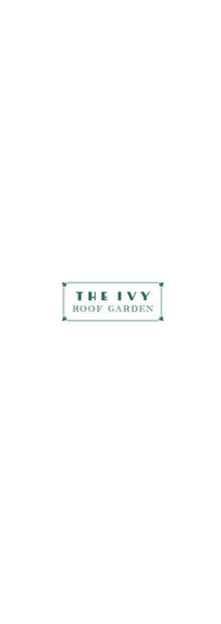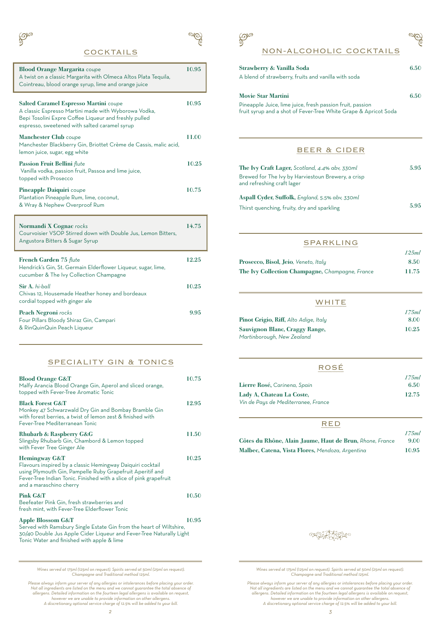

## **COCKTAILS**

| <b>Blood Orange Margarita coupe</b><br>A twist on a classic Margarita with Olmeca Altos Plata Tequila,<br>Cointreau, blood orange syrup, lime and orange juice                                                 | 10.95 |
|----------------------------------------------------------------------------------------------------------------------------------------------------------------------------------------------------------------|-------|
| <b>Salted Caramel Espresso Martini coupe</b><br>A classic Espresso Martini made with Wyborowa Vodka,<br>Bepi Tosolini Expre Coffee Liqueur and freshly pulled<br>espresso, sweetened with salted caramel syrup | 10.95 |
| <b>Manchester Club</b> coupe<br>Manchester Blackberry Gin, Briottet Crème de Cassis, malic acid,<br>lemon juice, sugar, egg white                                                                              | 11.00 |
| Passion Fruit Bellini flute<br>Vanilla vodka, passion fruit, Passoa and lime juice,<br>topped with Prosecco                                                                                                    | 10.25 |
| Pineapple Daiquiri coupe<br>Plantation Pineapple Rum, lime, coconut,<br>& Wray & Nephew Overproof Rum                                                                                                          | 10.75 |
| <b>Normandi X Cognac</b> rocks<br>Courvoisier VSOP Stirred down with Double Jus, Lemon Bitters,<br>Angustora Bitters & Sugar Syrup                                                                             | 14.75 |
| French Garden 75 flute<br>Hendrick's Gin, St. Germain Elderflower Liqueur, sugar, lime,<br>cucumber & The Ivy Collection Champagne                                                                             | 12.25 |
| Sir A. hi-ball<br>Chivas 12, Housemade Heather honey and bordeaux<br>cordial topped with ginger ale                                                                                                            | 10.25 |
| Peach Negroni rocks<br>Four Pillars Bloody Shiraz Gin, Campari<br>& RinQuinQuin Peach Liqueur                                                                                                                  | 9.95  |

### SPECIALITY GIN & TONICS

| <b>Blood Orange G&amp;T</b><br>Malfy Arancia Blood Orange Gin, Aperol and sliced orange,<br>topped with Fever-Tree Aromatic Tonic                                                                                                                   | 10.75 |
|-----------------------------------------------------------------------------------------------------------------------------------------------------------------------------------------------------------------------------------------------------|-------|
| <b>Black Forest G&amp;T</b><br>Monkey 47 Schwarzwald Dry Gin and Bombay Bramble Gin<br>with forest berries, a twist of lemon zest & finished with<br>Fever-Tree Mediterranean Tonic                                                                 | 12.95 |
| <b>Rhubarb &amp; Raspberry G&amp;G</b><br>Slingsby Rhubarb Gin, Chambord & Lemon topped<br>with Fever Tree Ginger Ale                                                                                                                               | 11.50 |
| <b>Hemingway G&amp;T</b><br>Flavours inspired by a classic Hemingway Daiquiri cocktail<br>using Plymouth Gin, Pampelle Ruby Grapefruit Aperitif and<br>Fever-Tree Indian Tonic. Finished with a slice of pink grapefruit<br>and a maraschino cherry | 10.25 |
| <b>Pink G&amp;T</b><br>Beefeater Pink Gin, fresh strawberries and<br>fresh mint, with Fever-Tree Elderflower Tonic                                                                                                                                  | 10.50 |
| Apple Blossom G&T<br>Served with Ramsbury Single Estate Gin from the heart of Wiltshire,<br>30/40 Double Jus Apple Cider Liqueur and Fever-Tree Naturally Light<br>Tonic Water and finished with apple & lime                                       | 10.95 |

*Wines served at 175ml (125ml on request). Spirits served at 50ml (25ml on request). Champagne and Traditional method 125ml.*

Please always inform your server of any allergies or intolerances before placing your order.<br>
Not all ingredients are listed on the menu and we cannot guarantee the total absence of<br>
allergens. Detailed information on the



| Strawberry & Vanilla Soda<br>A blend of strawberry, fruits and vanilla with soda                                                                          | 6.50 |
|-----------------------------------------------------------------------------------------------------------------------------------------------------------|------|
| <b>Movie Star Martini</b><br>Pineapple Juice, lime juice, fresh passion fruit, passion<br>fruit syrup and a shot of Fever-Tree White Grape & Apricot Soda | 6.50 |

## BEER & CIDER

| The Ivy Craft Lager, Scotland, 4.4% abv, 330ml                                   | 5.95 |
|----------------------------------------------------------------------------------|------|
| Brewed for The Ivy by Harviestoun Brewery, a crisp<br>and refreshing craft lager |      |
| Aspall Cyder, Suffolk, England, 5.5% abv, 330ml                                  |      |
| Thirst quenching, fruity, dry and sparkling                                      | 5.95 |

#### SPARKLING

|                                                 | 125ml |
|-------------------------------------------------|-------|
| Prosecco, Bisol, Jeio, Veneto, Italy            | 8.50  |
| The Ivy Collection Champagne, Champagne, France | 11.75 |

### **WHITE**

*175ml* 

*175ml* 

|                                       | 1 təmi |
|---------------------------------------|--------|
| Pinot Grigio, Riff, Alto Adige, Italy | 8.00   |
| Sauvignon Blanc, Craggy Range,        | 10.25  |
| Martinborough, New Zealand            |        |

#### ROSÉ

|                                                                  | 175ml |
|------------------------------------------------------------------|-------|
| Lierre Rosé, Carinena, Spain                                     | 6.50  |
| Lady A, Chateau La Coste,<br>Vin de Pays de Mediterranee, France | 12.75 |

## RED

| Côtes du Rhône, Alain Jaume, Haut de Brun, Rhone, France | 9.00  |
|----------------------------------------------------------|-------|
| Malbec, Catena, Vista Flores, Mendoza, Argentina         | 10.95 |



*Wines served at 175ml (125ml on request). Spirits served at 50ml (25ml on request). Champagne and Traditional method 125ml.*

Please always inform your server of any allergies or intolerances before placing your order.<br>Not all ingredients are listed on the menu and we cannot guarantee the total absence of<br>allergens. Detailed information on the fo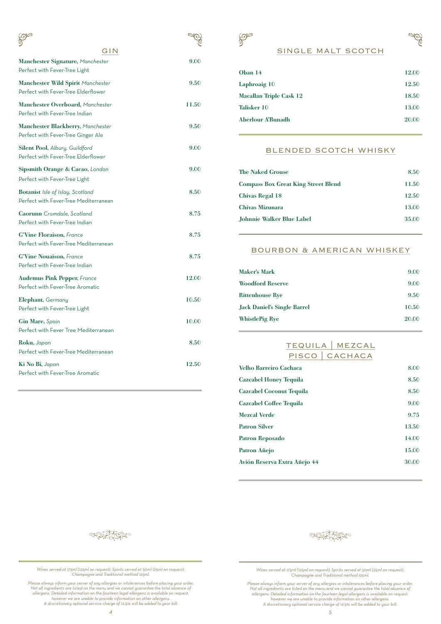| <b>JUNO</b>                                                               | $\mathbb{R}$ |
|---------------------------------------------------------------------------|--------------|
| GIN                                                                       |              |
| Manchester Signature, Manchester<br>Perfect with Fever-Tree Light         | 9.00         |
| Manchester Wild Spirit Manchester<br>Perfect with Fever-Tree Elderflower  | 9.50         |
| Manchester Overboard, Manchester<br>Perfect with Fever-Tree Indian        | 11.50        |
| Manchester Blackberry, Manchester<br>Perfect with Fever-Tree Ginger Ale   | 9.50         |
| Silent Pool, Albury, Guildford<br>Perfect with Fever-Tree Elderflower     | 9.00         |
| Sipsmith Orange & Cacao, London<br>Perfect with Fever-Tree Light          | 9.00         |
| Botanist Isle of Islay, Scotland<br>Perfect with Fever-Tree Mediterranean | 8.50         |
| <b>Caorunn</b> Cromdale, Scotland<br>Perfect with Fever-Tree Indian       | 8.75         |
| <b>G'Vine Floraison, France</b><br>Perfect with Fever-Tree Mediterranean  | 8.75         |
| <b>G'Vine Nouaison, France</b><br>Perfect with Fever-Tree Indian          | 8.75         |
| <b>Audemus Pink Pepper, France</b><br>Perfect with Fever-Tree Aromatic    | 12.00        |
| Elephant, Germany<br>Perfect with Fever-Tree Light                        | 10.50        |
| Gin Mare, Spain<br>Perfect with Fever Tree Mediterranean                  | 10.00        |
| Roku, Japan<br>Perfect with Fever-Tree Mediterranean                      | 8.50         |
| Ki No Bi, Japan<br>Perfect with Fever-Tree Aromatic                       | 12.50        |



# SINGLE MALT SCOTCH

| Oban 14                        | 12.00 |
|--------------------------------|-------|
| Laphroaig 10                   | 12.50 |
| <b>Macallan Triple Cask 12</b> | 18.50 |
| Talisker 10                    | 13.00 |
| Aberlour A'Bunadh              | 20.00 |
|                                |       |

## BLENDED SCOTCH WHISKY

| <b>The Naked Grouse</b>                    | 8.50  |
|--------------------------------------------|-------|
| <b>Compass Box Great King Street Blend</b> | 11.50 |
| Chivas Regal 18                            | 12.50 |
| <b>Chivas Mizunara</b>                     | 13.00 |
| Johnnie Walker Blue Label                  | 35.00 |

## BOURBON & AMERICAN WHISKEY

| 9.00  |
|-------|
| 9.00  |
| 9.50  |
| 10.50 |
| 20.00 |
|       |

# TEQUILA | MEZCAL PISCO | CACHACA

| <b>Velho Barreiro Cachaca</b>   | 8.00  |
|---------------------------------|-------|
| <b>Cazcabel Honey Tequila</b>   | 8.50  |
| <b>Cazcabel Coconut Tequila</b> | 8.50  |
| <b>Cazcabel Coffee Tequila</b>  | 9.00  |
| <b>Mezcal Verde</b>             | 9.75  |
| <b>Patron Silver</b>            | 13.50 |
| Patron Reposado                 | 14.00 |
| Patron Añejo                    | 15.00 |
| Avión Reserva Extra Añejo 44    | 30.00 |

en parti forma



*Wines served at 175ml (125ml on request). Spirits served at 50ml (25ml on request). Champagne and Traditional method 125ml.*

*Please always inform your server of any allergies or intolerances before placing your order. Not all ingredients are listed on the menu and we cannot guarantee the total absence of*  allergens. Detailed information on the fourteen legal allergens is available on request,<br>however we are unable to provide information on other allergens.<br>A discretionary optional service charge of 12.5% will be added to yo

*Wines served at 175ml (125ml on request). Spirits served at 50ml (25ml on request). Champagne and Traditional method 125ml.*

Please always inform your server of any allergies or intolerances before placing your order.<br>
Not all ingredients are listed on the menu and we cannot guarantee the total absence of<br>
allergens. Detailed information on the